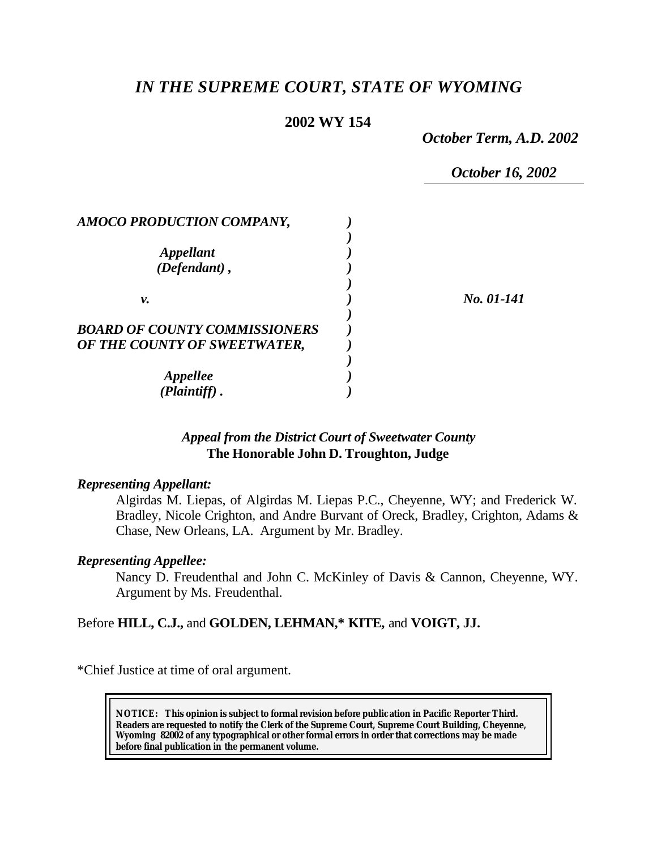# *IN THE SUPREME COURT, STATE OF WYOMING*

# **2002 WY 154**

*October Term, A.D. 2002*

*October 16, 2002*

| AMOCO PRODUCTION COMPANY,            |            |
|--------------------------------------|------------|
| <b>Appellant</b><br>(Defendant),     |            |
|                                      |            |
| ν.                                   | No. 01-141 |
| <b>BOARD OF COUNTY COMMISSIONERS</b> |            |
| OF THE COUNTY OF SWEETWATER,         |            |
| <b>Appellee</b>                      |            |
| (Plaintiff)                          |            |

# *Appeal from the District Court of Sweetwater County* **The Honorable John D. Troughton, Judge**

#### *Representing Appellant:*

Algirdas M. Liepas, of Algirdas M. Liepas P.C., Cheyenne, WY; and Frederick W. Bradley, Nicole Crighton, and Andre Burvant of Oreck, Bradley, Crighton, Adams & Chase, New Orleans, LA. Argument by Mr. Bradley.

#### *Representing Appellee:*

Nancy D. Freudenthal and John C. McKinley of Davis & Cannon, Cheyenne, WY. Argument by Ms. Freudenthal.

## Before **HILL, C.J.,** and **GOLDEN, LEHMAN,\* KITE,** and **VOIGT, JJ.**

\*Chief Justice at time of oral argument.

**NOTICE:** *This opinion is subject to formal revision before publication in Pacific Reporter Third. Readers are requested to notify the Clerk of the Supreme Court, Supreme Court Building, Cheyenne, Wyoming 82002 of any typographical or other formal errors in order that corrections may be made before final publication in the permanent volume.*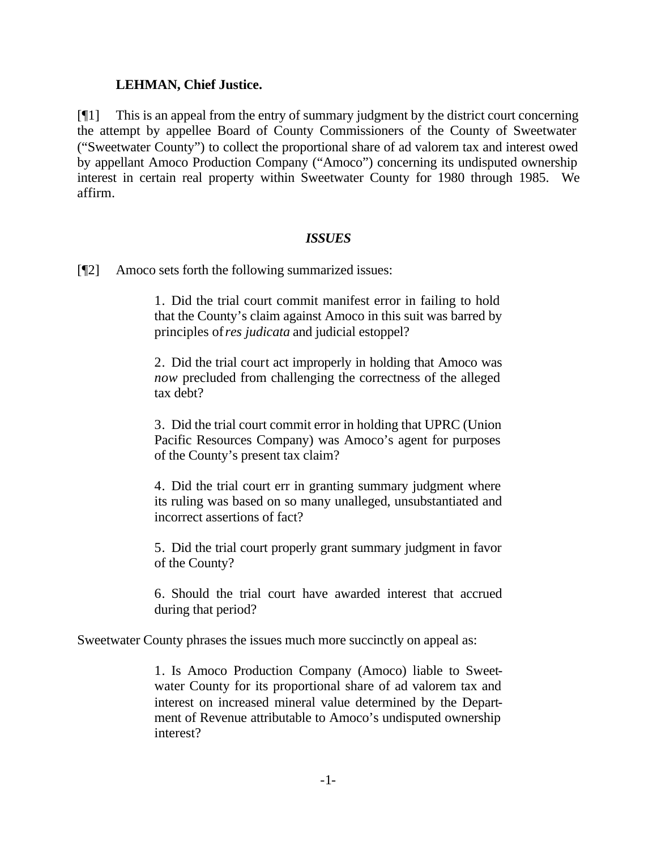### **LEHMAN, Chief Justice.**

[¶1] This is an appeal from the entry of summary judgment by the district court concerning the attempt by appellee Board of County Commissioners of the County of Sweetwater ("Sweetwater County") to collect the proportional share of ad valorem tax and interest owed by appellant Amoco Production Company ("Amoco") concerning its undisputed ownership interest in certain real property within Sweetwater County for 1980 through 1985. We affirm.

## *ISSUES*

[¶2] Amoco sets forth the following summarized issues:

1. Did the trial court commit manifest error in failing to hold that the County's claim against Amoco in this suit was barred by principles of *res judicata* and judicial estoppel?

2. Did the trial court act improperly in holding that Amoco was *now* precluded from challenging the correctness of the alleged tax debt?

3. Did the trial court commit error in holding that UPRC (Union Pacific Resources Company) was Amoco's agent for purposes of the County's present tax claim?

4. Did the trial court err in granting summary judgment where its ruling was based on so many unalleged, unsubstantiated and incorrect assertions of fact?

5. Did the trial court properly grant summary judgment in favor of the County?

6. Should the trial court have awarded interest that accrued during that period?

Sweetwater County phrases the issues much more succinctly on appeal as:

1. Is Amoco Production Company (Amoco) liable to Sweetwater County for its proportional share of ad valorem tax and interest on increased mineral value determined by the Department of Revenue attributable to Amoco's undisputed ownership interest?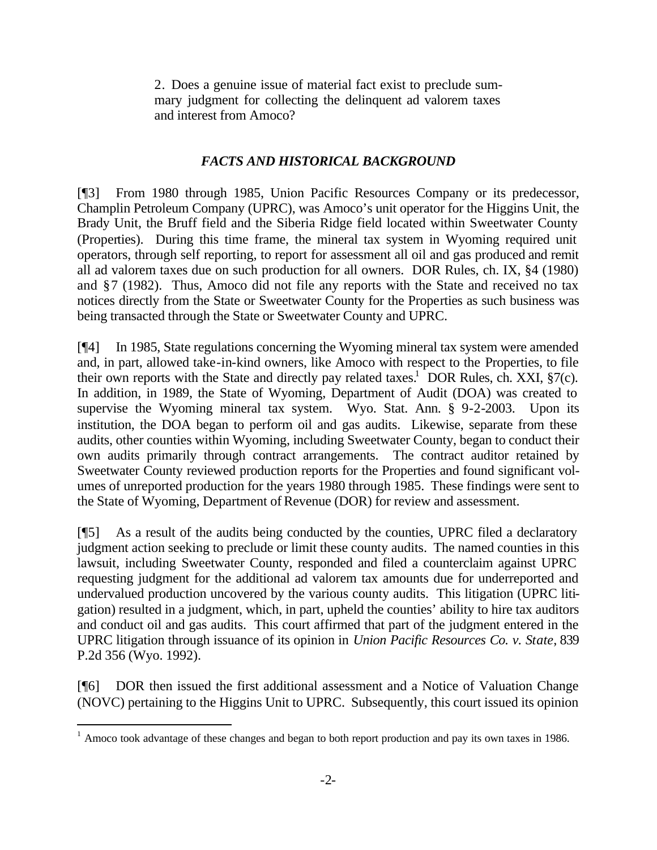2. Does a genuine issue of material fact exist to preclude summary judgment for collecting the delinquent ad valorem taxes and interest from Amoco?

# *FACTS AND HISTORICAL BACKGROUND*

[¶3] From 1980 through 1985, Union Pacific Resources Company or its predecessor, Champlin Petroleum Company (UPRC), was Amoco's unit operator for the Higgins Unit, the Brady Unit, the Bruff field and the Siberia Ridge field located within Sweetwater County (Properties). During this time frame, the mineral tax system in Wyoming required unit operators, through self reporting, to report for assessment all oil and gas produced and remit all ad valorem taxes due on such production for all owners. DOR Rules, ch. IX, §4 (1980) and §7 (1982). Thus, Amoco did not file any reports with the State and received no tax notices directly from the State or Sweetwater County for the Properties as such business was being transacted through the State or Sweetwater County and UPRC.

[¶4] In 1985, State regulations concerning the Wyoming mineral tax system were amended and, in part, allowed take-in-kind owners, like Amoco with respect to the Properties, to file their own reports with the State and directly pay related taxes.<sup>1</sup> DOR Rules, ch. XXI,  $\S7(c)$ . In addition, in 1989, the State of Wyoming, Department of Audit (DOA) was created to supervise the Wyoming mineral tax system. Wyo. Stat. Ann. § 9-2-2003. Upon its institution, the DOA began to perform oil and gas audits. Likewise, separate from these audits, other counties within Wyoming, including Sweetwater County, began to conduct their own audits primarily through contract arrangements. The contract auditor retained by Sweetwater County reviewed production reports for the Properties and found significant volumes of unreported production for the years 1980 through 1985. These findings were sent to the State of Wyoming, Department of Revenue (DOR) for review and assessment.

[¶5] As a result of the audits being conducted by the counties, UPRC filed a declaratory judgment action seeking to preclude or limit these county audits. The named counties in this lawsuit, including Sweetwater County, responded and filed a counterclaim against UPRC requesting judgment for the additional ad valorem tax amounts due for underreported and undervalued production uncovered by the various county audits. This litigation (UPRC litigation) resulted in a judgment, which, in part, upheld the counties' ability to hire tax auditors and conduct oil and gas audits. This court affirmed that part of the judgment entered in the UPRC litigation through issuance of its opinion in *Union Pacific Resources Co. v. State*, 839 P.2d 356 (Wyo. 1992).

[¶6] DOR then issued the first additional assessment and a Notice of Valuation Change (NOVC) pertaining to the Higgins Unit to UPRC. Subsequently, this court issued its opinion

l

 $1$  Amoco took advantage of these changes and began to both report production and pay its own taxes in 1986.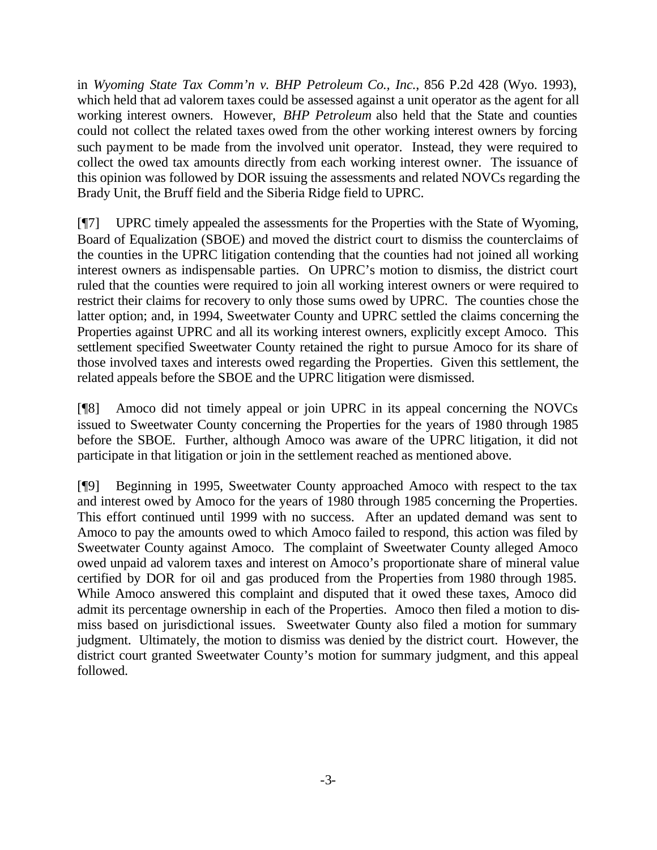in *Wyoming State Tax Comm'n v. BHP Petroleum Co., Inc.*, 856 P.2d 428 (Wyo. 1993), which held that ad valorem taxes could be assessed against a unit operator as the agent for all working interest owners. However, *BHP Petroleum* also held that the State and counties could not collect the related taxes owed from the other working interest owners by forcing such payment to be made from the involved unit operator. Instead, they were required to collect the owed tax amounts directly from each working interest owner. The issuance of this opinion was followed by DOR issuing the assessments and related NOVCs regarding the Brady Unit, the Bruff field and the Siberia Ridge field to UPRC.

[¶7] UPRC timely appealed the assessments for the Properties with the State of Wyoming, Board of Equalization (SBOE) and moved the district court to dismiss the counterclaims of the counties in the UPRC litigation contending that the counties had not joined all working interest owners as indispensable parties. On UPRC's motion to dismiss, the district court ruled that the counties were required to join all working interest owners or were required to restrict their claims for recovery to only those sums owed by UPRC. The counties chose the latter option; and, in 1994, Sweetwater County and UPRC settled the claims concerning the Properties against UPRC and all its working interest owners, explicitly except Amoco. This settlement specified Sweetwater County retained the right to pursue Amoco for its share of those involved taxes and interests owed regarding the Properties. Given this settlement, the related appeals before the SBOE and the UPRC litigation were dismissed.

[¶8] Amoco did not timely appeal or join UPRC in its appeal concerning the NOVCs issued to Sweetwater County concerning the Properties for the years of 1980 through 1985 before the SBOE. Further, although Amoco was aware of the UPRC litigation, it did not participate in that litigation or join in the settlement reached as mentioned above.

[¶9] Beginning in 1995, Sweetwater County approached Amoco with respect to the tax and interest owed by Amoco for the years of 1980 through 1985 concerning the Properties. This effort continued until 1999 with no success. After an updated demand was sent to Amoco to pay the amounts owed to which Amoco failed to respond, this action was filed by Sweetwater County against Amoco. The complaint of Sweetwater County alleged Amoco owed unpaid ad valorem taxes and interest on Amoco's proportionate share of mineral value certified by DOR for oil and gas produced from the Properties from 1980 through 1985. While Amoco answered this complaint and disputed that it owed these taxes, Amoco did admit its percentage ownership in each of the Properties. Amoco then filed a motion to dismiss based on jurisdictional issues. Sweetwater County also filed a motion for summary judgment. Ultimately, the motion to dismiss was denied by the district court. However, the district court granted Sweetwater County's motion for summary judgment, and this appeal followed.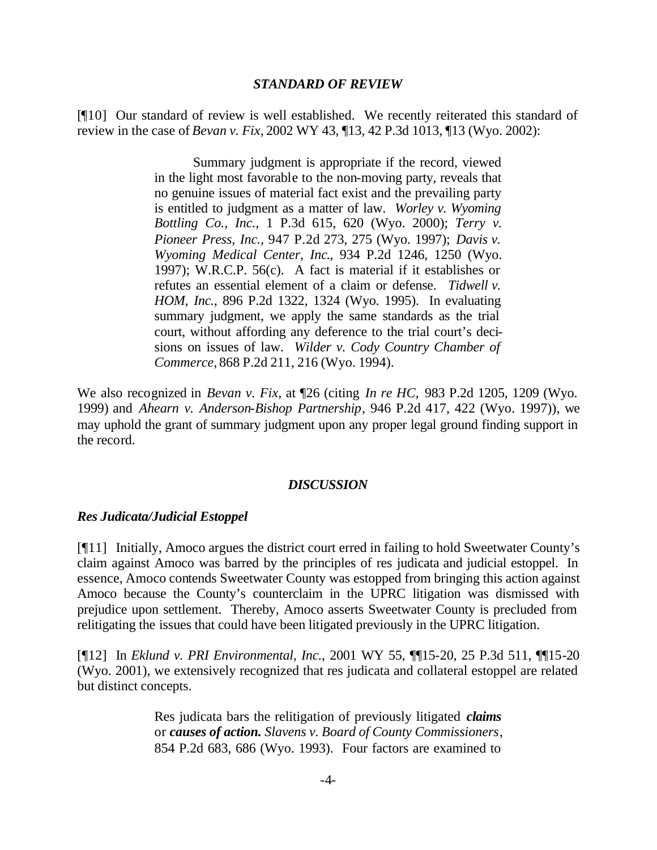#### *STANDARD OF REVIEW*

[¶10] Our standard of review is well established. We recently reiterated this standard of review in the case of *Bevan v. Fix,* 2002 WY 43, ¶13, 42 P.3d 1013, ¶13 (Wyo. 2002):

> Summary judgment is appropriate if the record, viewed in the light most favorable to the non-moving party, reveals that no genuine issues of material fact exist and the prevailing party is entitled to judgment as a matter of law. *Worley v. Wyoming Bottling Co., Inc.,* 1 P.3d 615, 620 (Wyo. 2000); *Terry v. Pioneer Press, Inc.,* 947 P.2d 273, 275 (Wyo. 1997); *Davis v. Wyoming Medical Center, Inc*., 934 P.2d 1246, 1250 (Wyo. 1997); W.R.C.P. 56(c). A fact is material if it establishes or refutes an essential element of a claim or defense. *Tidwell v. HOM, Inc.*, 896 P.2d 1322, 1324 (Wyo. 1995). In evaluating summary judgment, we apply the same standards as the trial court, without affording any deference to the trial court's decisions on issues of law. *Wilder v. Cody Country Chamber of Commerce,* 868 P.2d 211, 216 (Wyo. 1994).

We also recognized in *Bevan v. Fix*, at ¶26 (citing *In re HC,* 983 P.2d 1205, 1209 (Wyo. 1999) and *Ahearn v. Anderson-Bishop Partnership*, 946 P.2d 417, 422 (Wyo. 1997)), we may uphold the grant of summary judgment upon any proper legal ground finding support in the record.

#### *DISCUSSION*

#### *Res Judicata/Judicial Estoppel*

[¶11] Initially, Amoco argues the district court erred in failing to hold Sweetwater County's claim against Amoco was barred by the principles of res judicata and judicial estoppel. In essence, Amoco contends Sweetwater County was estopped from bringing this action against Amoco because the County's counterclaim in the UPRC litigation was dismissed with prejudice upon settlement. Thereby, Amoco asserts Sweetwater County is precluded from relitigating the issues that could have been litigated previously in the UPRC litigation.

[¶12] In *Eklund v. PRI Environmental, Inc.*, 2001 WY 55, ¶¶15-20, 25 P.3d 511, ¶¶15-20 (Wyo. 2001), we extensively recognized that res judicata and collateral estoppel are related but distinct concepts.

> Res judicata bars the relitigation of previously litigated *claims* or *causes of action. Slavens v. Board of County Commissioners*, 854 P.2d 683, 686 (Wyo. 1993). Four factors are examined to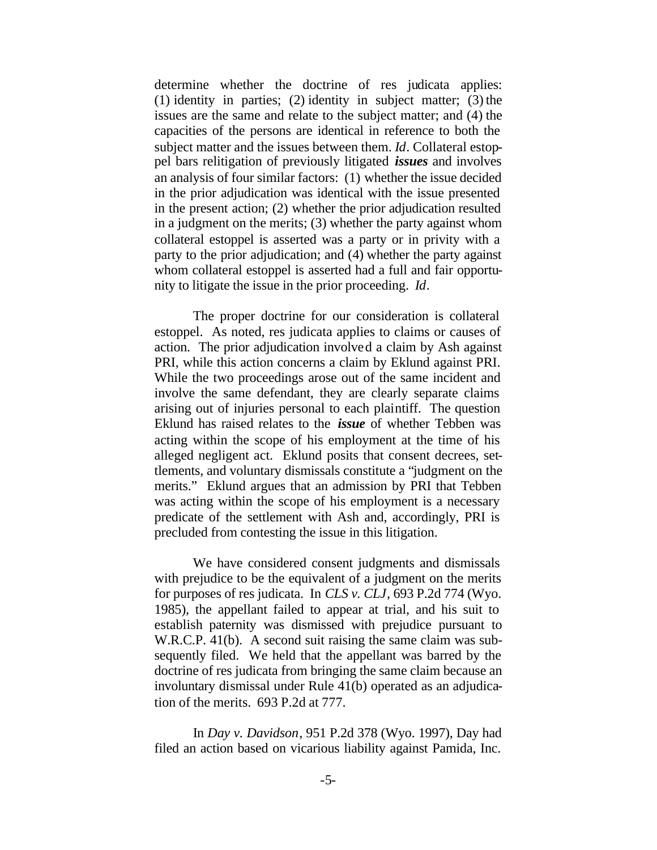determine whether the doctrine of res judicata applies: (1) identity in parties; (2) identity in subject matter; (3) the issues are the same and relate to the subject matter; and (4) the capacities of the persons are identical in reference to both the subject matter and the issues between them. *Id*. Collateral estoppel bars relitigation of previously litigated *issues* and involves an analysis of four similar factors: (1) whether the issue decided in the prior adjudication was identical with the issue presented in the present action; (2) whether the prior adjudication resulted in a judgment on the merits; (3) whether the party against whom collateral estoppel is asserted was a party or in privity with a party to the prior adjudication; and (4) whether the party against whom collateral estoppel is asserted had a full and fair opportunity to litigate the issue in the prior proceeding. *Id*.

The proper doctrine for our consideration is collateral estoppel. As noted, res judicata applies to claims or causes of action. The prior adjudication involved a claim by Ash against PRI, while this action concerns a claim by Eklund against PRI. While the two proceedings arose out of the same incident and involve the same defendant, they are clearly separate claims arising out of injuries personal to each plaintiff. The question Eklund has raised relates to the *issue* of whether Tebben was acting within the scope of his employment at the time of his alleged negligent act. Eklund posits that consent decrees, settlements, and voluntary dismissals constitute a "judgment on the merits." Eklund argues that an admission by PRI that Tebben was acting within the scope of his employment is a necessary predicate of the settlement with Ash and, accordingly, PRI is precluded from contesting the issue in this litigation.

We have considered consent judgments and dismissals with prejudice to be the equivalent of a judgment on the merits for purposes of res judicata. In *CLS v. CLJ*, 693 P.2d 774 (Wyo. 1985), the appellant failed to appear at trial, and his suit to establish paternity was dismissed with prejudice pursuant to W.R.C.P. 41(b). A second suit raising the same claim was subsequently filed. We held that the appellant was barred by the doctrine of res judicata from bringing the same claim because an involuntary dismissal under Rule 41(b) operated as an adjudication of the merits. 693 P.2d at 777.

In *Day v. Davidson*, 951 P.2d 378 (Wyo. 1997), Day had filed an action based on vicarious liability against Pamida, Inc.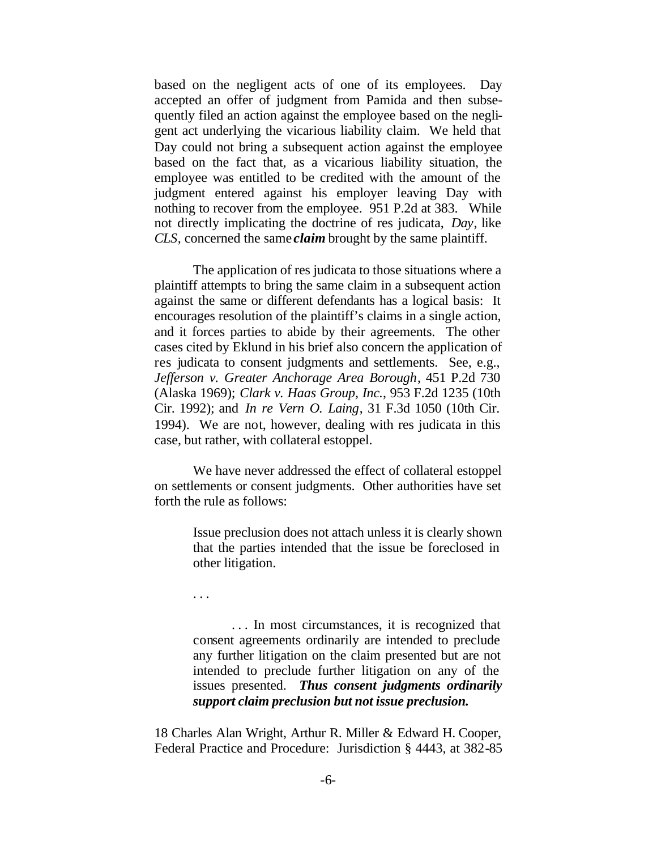based on the negligent acts of one of its employees. Day accepted an offer of judgment from Pamida and then subsequently filed an action against the employee based on the negligent act underlying the vicarious liability claim. We held that Day could not bring a subsequent action against the employee based on the fact that, as a vicarious liability situation, the employee was entitled to be credited with the amount of the judgment entered against his employer leaving Day with nothing to recover from the employee. 951 P.2d at 383. While not directly implicating the doctrine of res judicata, *Day*, like *CLS*, concerned the same *claim* brought by the same plaintiff.

The application of res judicata to those situations where a plaintiff attempts to bring the same claim in a subsequent action against the same or different defendants has a logical basis: It encourages resolution of the plaintiff's claims in a single action, and it forces parties to abide by their agreements. The other cases cited by Eklund in his brief also concern the application of res judicata to consent judgments and settlements. See, e.g., *Jefferson v. Greater Anchorage Area Borough*, 451 P.2d 730 (Alaska 1969); *Clark v. Haas Group, Inc.*, 953 F.2d 1235 (10th Cir. 1992); and *In re Vern O. Laing*, 31 F.3d 1050 (10th Cir. 1994). We are not, however, dealing with res judicata in this case, but rather, with collateral estoppel.

We have never addressed the effect of collateral estoppel on settlements or consent judgments. Other authorities have set forth the rule as follows:

> Issue preclusion does not attach unless it is clearly shown that the parties intended that the issue be foreclosed in other litigation.

. . .

. . . In most circumstances, it is recognized that consent agreements ordinarily are intended to preclude any further litigation on the claim presented but are not intended to preclude further litigation on any of the issues presented. *Thus consent judgments ordinarily support claim preclusion but not issue preclusion.*

18 Charles Alan Wright, Arthur R. Miller & Edward H. Cooper, Federal Practice and Procedure: Jurisdiction § 4443, at 382-85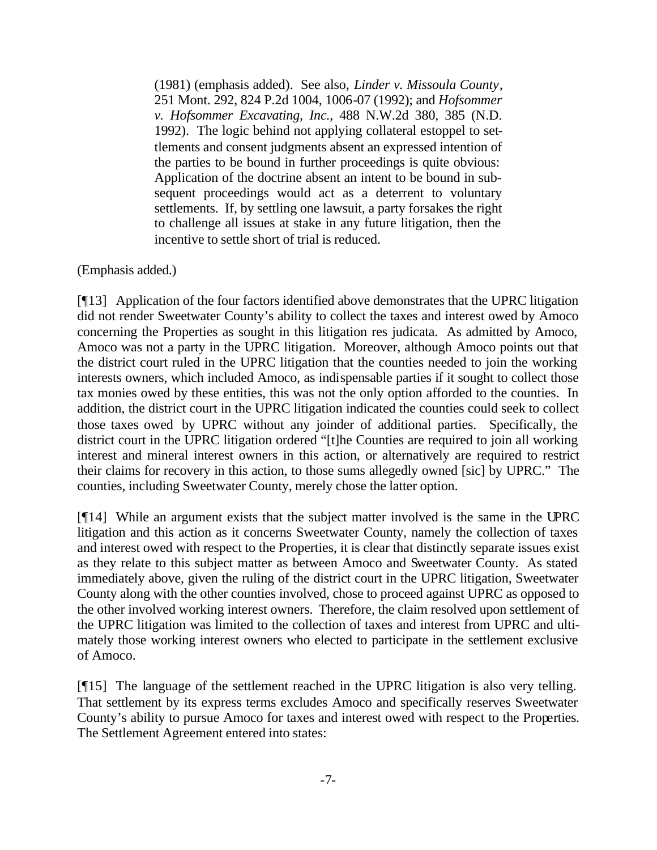(1981) (emphasis added). See also, *Linder v. Missoula County*, 251 Mont. 292, 824 P.2d 1004, 1006-07 (1992); and *Hofsommer v. Hofsommer Excavating, Inc.*, 488 N.W.2d 380, 385 (N.D. 1992). The logic behind not applying collateral estoppel to settlements and consent judgments absent an expressed intention of the parties to be bound in further proceedings is quite obvious: Application of the doctrine absent an intent to be bound in subsequent proceedings would act as a deterrent to voluntary settlements. If, by settling one lawsuit, a party forsakes the right to challenge all issues at stake in any future litigation, then the incentive to settle short of trial is reduced.

(Emphasis added.)

[¶13] Application of the four factors identified above demonstrates that the UPRC litigation did not render Sweetwater County's ability to collect the taxes and interest owed by Amoco concerning the Properties as sought in this litigation res judicata. As admitted by Amoco, Amoco was not a party in the UPRC litigation. Moreover, although Amoco points out that the district court ruled in the UPRC litigation that the counties needed to join the working interests owners, which included Amoco, as indispensable parties if it sought to collect those tax monies owed by these entities, this was not the only option afforded to the counties. In addition, the district court in the UPRC litigation indicated the counties could seek to collect those taxes owed by UPRC without any joinder of additional parties. Specifically, the district court in the UPRC litigation ordered "[t]he Counties are required to join all working interest and mineral interest owners in this action, or alternatively are required to restrict their claims for recovery in this action, to those sums allegedly owned [sic] by UPRC." The counties, including Sweetwater County, merely chose the latter option.

[¶14] While an argument exists that the subject matter involved is the same in the UPRC litigation and this action as it concerns Sweetwater County, namely the collection of taxes and interest owed with respect to the Properties, it is clear that distinctly separate issues exist as they relate to this subject matter as between Amoco and Sweetwater County. As stated immediately above, given the ruling of the district court in the UPRC litigation, Sweetwater County along with the other counties involved, chose to proceed against UPRC as opposed to the other involved working interest owners. Therefore, the claim resolved upon settlement of the UPRC litigation was limited to the collection of taxes and interest from UPRC and ultimately those working interest owners who elected to participate in the settlement exclusive of Amoco.

[¶15] The language of the settlement reached in the UPRC litigation is also very telling. That settlement by its express terms excludes Amoco and specifically reserves Sweetwater County's ability to pursue Amoco for taxes and interest owed with respect to the Properties. The Settlement Agreement entered into states: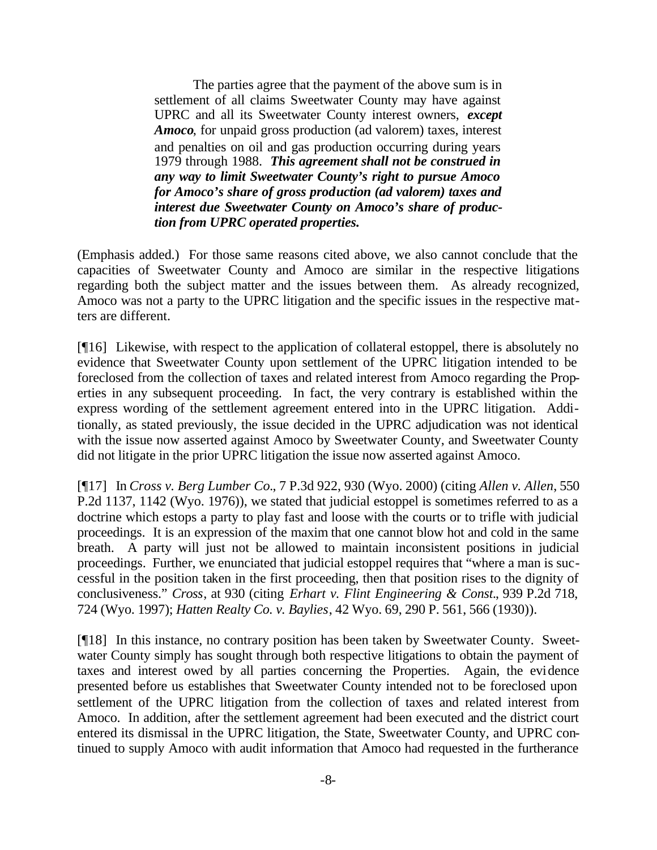The parties agree that the payment of the above sum is in settlement of all claims Sweetwater County may have against UPRC and all its Sweetwater County interest owners, *except Amoco*, for unpaid gross production (ad valorem) taxes, interest and penalties on oil and gas production occurring during years 1979 through 1988. *This agreement shall not be construed in any way to limit Sweetwater County's right to pursue Amoco for Amoco's share of gross production (ad valorem) taxes and interest due Sweetwater County on Amoco's share of production from UPRC operated properties.*

(Emphasis added.) For those same reasons cited above, we also cannot conclude that the capacities of Sweetwater County and Amoco are similar in the respective litigations regarding both the subject matter and the issues between them. As already recognized, Amoco was not a party to the UPRC litigation and the specific issues in the respective matters are different.

[¶16] Likewise, with respect to the application of collateral estoppel, there is absolutely no evidence that Sweetwater County upon settlement of the UPRC litigation intended to be foreclosed from the collection of taxes and related interest from Amoco regarding the Properties in any subsequent proceeding. In fact, the very contrary is established within the express wording of the settlement agreement entered into in the UPRC litigation. Additionally, as stated previously, the issue decided in the UPRC adjudication was not identical with the issue now asserted against Amoco by Sweetwater County, and Sweetwater County did not litigate in the prior UPRC litigation the issue now asserted against Amoco.

[¶17] In *Cross v. Berg Lumber Co.*, 7 P.3d 922, 930 (Wyo. 2000) (citing *Allen v. Allen*, 550 P.2d 1137, 1142 (Wyo. 1976)), we stated that judicial estoppel is sometimes referred to as a doctrine which estops a party to play fast and loose with the courts or to trifle with judicial proceedings. It is an expression of the maxim that one cannot blow hot and cold in the same breath. A party will just not be allowed to maintain inconsistent positions in judicial proceedings. Further, we enunciated that judicial estoppel requires that "where a man is successful in the position taken in the first proceeding, then that position rises to the dignity of conclusiveness." *Cross*, at 930 (citing *Erhart v. Flint Engineering & Const.*, 939 P.2d 718, 724 (Wyo. 1997); *Hatten Realty Co. v. Baylies*, 42 Wyo. 69, 290 P. 561, 566 (1930)).

[¶18] In this instance, no contrary position has been taken by Sweetwater County. Sweetwater County simply has sought through both respective litigations to obtain the payment of taxes and interest owed by all parties concerning the Properties. Again, the evidence presented before us establishes that Sweetwater County intended not to be foreclosed upon settlement of the UPRC litigation from the collection of taxes and related interest from Amoco. In addition, after the settlement agreement had been executed and the district court entered its dismissal in the UPRC litigation, the State, Sweetwater County, and UPRC continued to supply Amoco with audit information that Amoco had requested in the furtherance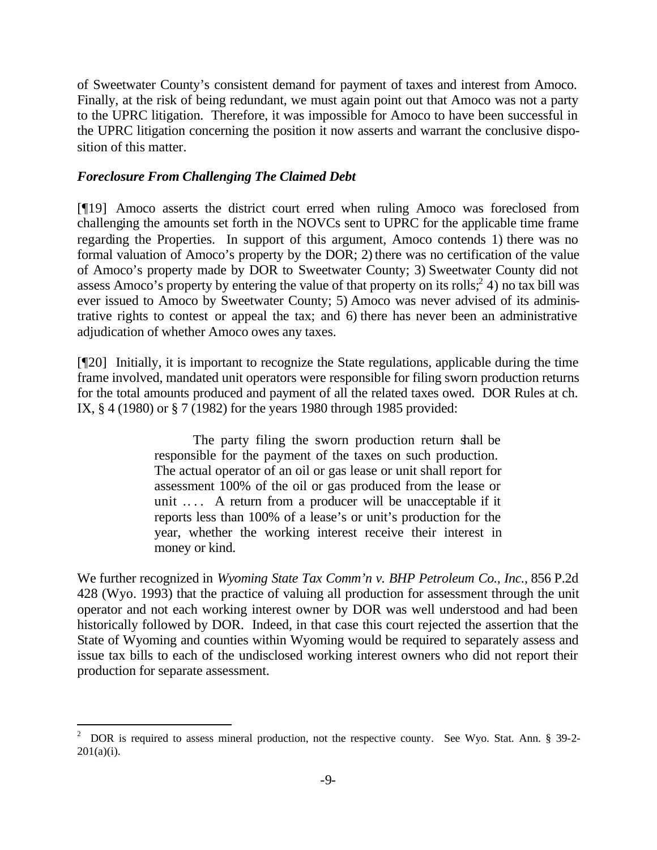of Sweetwater County's consistent demand for payment of taxes and interest from Amoco. Finally, at the risk of being redundant, we must again point out that Amoco was not a party to the UPRC litigation. Therefore, it was impossible for Amoco to have been successful in the UPRC litigation concerning the position it now asserts and warrant the conclusive disposition of this matter.

# *Foreclosure From Challenging The Claimed Debt*

l

[¶19] Amoco asserts the district court erred when ruling Amoco was foreclosed from challenging the amounts set forth in the NOVCs sent to UPRC for the applicable time frame regarding the Properties. In support of this argument, Amoco contends 1) there was no formal valuation of Amoco's property by the DOR; 2) there was no certification of the value of Amoco's property made by DOR to Sweetwater County; 3) Sweetwater County did not assess Amoco's property by entering the value of that property on its rolls;  $2^2$  4) no tax bill was ever issued to Amoco by Sweetwater County; 5) Amoco was never advised of its administrative rights to contest or appeal the tax; and 6) there has never been an administrative adjudication of whether Amoco owes any taxes.

[¶20] Initially, it is important to recognize the State regulations, applicable during the time frame involved, mandated unit operators were responsible for filing sworn production returns for the total amounts produced and payment of all the related taxes owed. DOR Rules at ch. IX, § 4 (1980) or § 7 (1982) for the years 1980 through 1985 provided:

> The party filing the sworn production return shall be responsible for the payment of the taxes on such production. The actual operator of an oil or gas lease or unit shall report for assessment 100% of the oil or gas produced from the lease or unit .... A return from a producer will be unacceptable if it reports less than 100% of a lease's or unit's production for the year, whether the working interest receive their interest in money or kind.

We further recognized in *Wyoming State Tax Comm'n v. BHP Petroleum Co., Inc.*, 856 P.2d 428 (Wyo. 1993) that the practice of valuing all production for assessment through the unit operator and not each working interest owner by DOR was well understood and had been historically followed by DOR. Indeed, in that case this court rejected the assertion that the State of Wyoming and counties within Wyoming would be required to separately assess and issue tax bills to each of the undisclosed working interest owners who did not report their production for separate assessment.

<sup>2</sup> DOR is required to assess mineral production, not the respective county. See Wyo. Stat. Ann. § 39-2-  $201(a)(i)$ .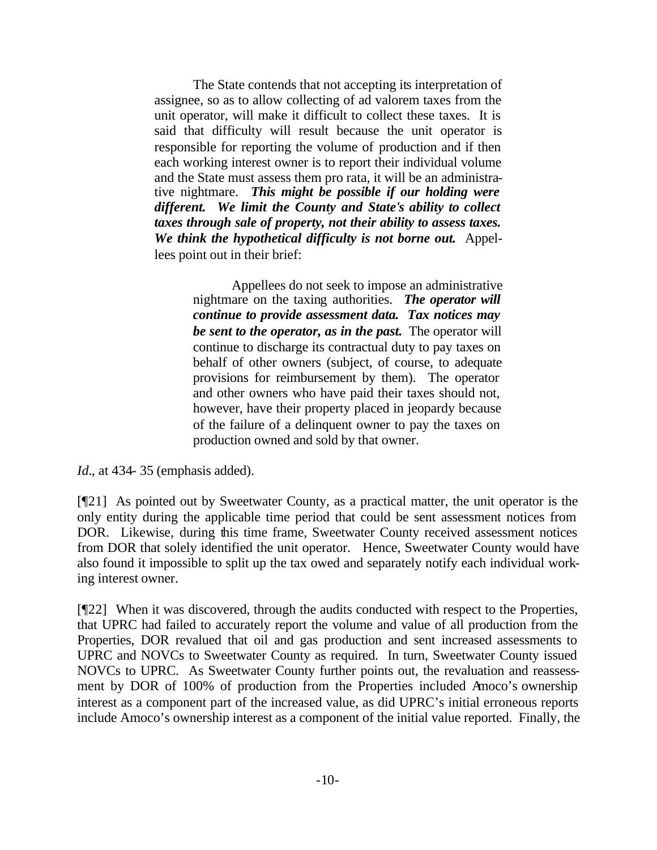The State contends that not accepting its interpretation of assignee, so as to allow collecting of ad valorem taxes from the unit operator, will make it difficult to collect these taxes. It is said that difficulty will result because the unit operator is responsible for reporting the volume of production and if then each working interest owner is to report their individual volume and the State must assess them pro rata, it will be an administrative nightmare. *This might be possible if our holding were different. We limit the County and State's ability to collect taxes through sale of property, not their ability to assess taxes. We think the hypothetical difficulty is not borne out.* Appellees point out in their brief:

> Appellees do not seek to impose an administrative nightmare on the taxing authorities. *The operator will continue to provide assessment data. Tax notices may be sent to the operator, as in the past.* The operator will continue to discharge its contractual duty to pay taxes on behalf of other owners (subject, of course, to adequate provisions for reimbursement by them). The operator and other owners who have paid their taxes should not, however, have their property placed in jeopardy because of the failure of a delinquent owner to pay the taxes on production owned and sold by that owner.

*Id.*, at 434- 35 (emphasis added).

[¶21] As pointed out by Sweetwater County, as a practical matter, the unit operator is the only entity during the applicable time period that could be sent assessment notices from DOR. Likewise, during this time frame, Sweetwater County received assessment notices from DOR that solely identified the unit operator. Hence, Sweetwater County would have also found it impossible to split up the tax owed and separately notify each individual working interest owner.

[¶22] When it was discovered, through the audits conducted with respect to the Properties, that UPRC had failed to accurately report the volume and value of all production from the Properties, DOR revalued that oil and gas production and sent increased assessments to UPRC and NOVCs to Sweetwater County as required. In turn, Sweetwater County issued NOVCs to UPRC. As Sweetwater County further points out, the revaluation and reassessment by DOR of 100% of production from the Properties included Amoco's ownership interest as a component part of the increased value, as did UPRC's initial erroneous reports include Amoco's ownership interest as a component of the initial value reported. Finally, the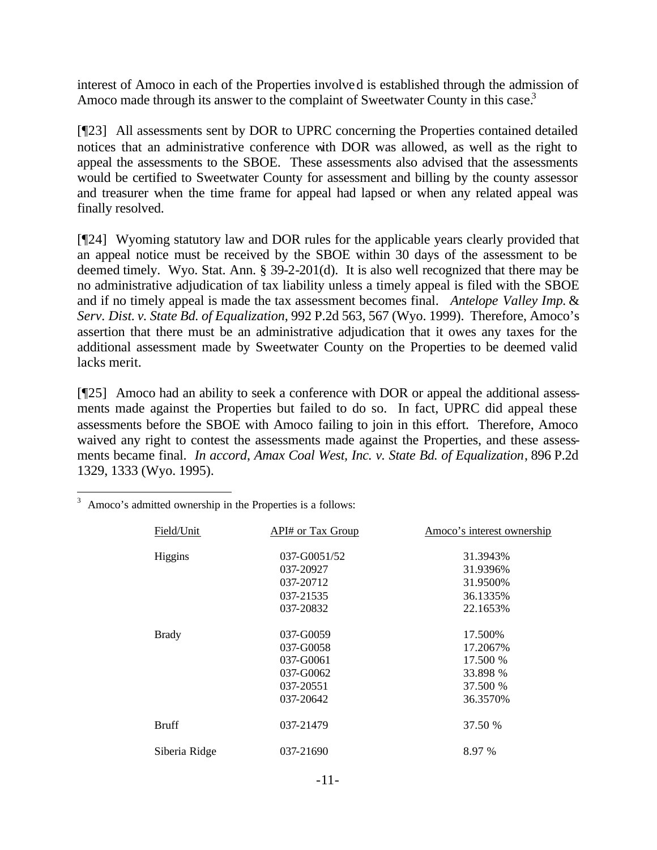interest of Amoco in each of the Properties involved is established through the admission of Amoco made through its answer to the complaint of Sweetwater County in this case.<sup>3</sup>

[¶23] All assessments sent by DOR to UPRC concerning the Properties contained detailed notices that an administrative conference with DOR was allowed, as well as the right to appeal the assessments to the SBOE. These assessments also advised that the assessments would be certified to Sweetwater County for assessment and billing by the county assessor and treasurer when the time frame for appeal had lapsed or when any related appeal was finally resolved.

[¶24] Wyoming statutory law and DOR rules for the applicable years clearly provided that an appeal notice must be received by the SBOE within 30 days of the assessment to be deemed timely. Wyo. Stat. Ann. § 39-2-201(d). It is also well recognized that there may be no administrative adjudication of tax liability unless a timely appeal is filed with the SBOE and if no timely appeal is made the tax assessment becomes final. *Antelope Valley Imp.* & *Serv. Dist. v. State Bd. of Equalization*, 992 P.2d 563, 567 (Wyo. 1999). Therefore, Amoco's assertion that there must be an administrative adjudication that it owes any taxes for the additional assessment made by Sweetwater County on the Properties to be deemed valid lacks merit.

[¶25] Amoco had an ability to seek a conference with DOR or appeal the additional assessments made against the Properties but failed to do so. In fact, UPRC did appeal these assessments before the SBOE with Amoco failing to join in this effort. Therefore, Amoco waived any right to contest the assessments made against the Properties, and these assessments became final. *In accord*, *Amax Coal West, Inc. v. State Bd. of Equalization*, 896 P.2d 1329, 1333 (Wyo. 1995).

| Field/Unit    | API# or Tax Group | Amoco's interest ownership |
|---------------|-------------------|----------------------------|
| Higgins       | 037-G0051/52      | 31.3943%                   |
|               | 037-20927         | 31.9396%                   |
|               | 037-20712         | 31.9500\%                  |
|               | 037-21535         | 36.1335%                   |
|               | 037-20832         | 22.1653%                   |
| <b>Brady</b>  | 037-G0059         | 17.500%                    |
|               | 037-G0058         | 17.2067%                   |
|               | 037-G0061         | 17.500 %                   |
|               | 037-G0062         | 33.898 %                   |
|               | 037-20551         | 37.500 %                   |
|               | 037-20642         | 36.3570\%                  |
| <b>Bruff</b>  | 037-21479         | 37.50 %                    |
| Siberia Ridge | 037-21690         | 8.97 %                     |

<sup>3</sup> Amoco's admitted ownership in the Properties is a follows: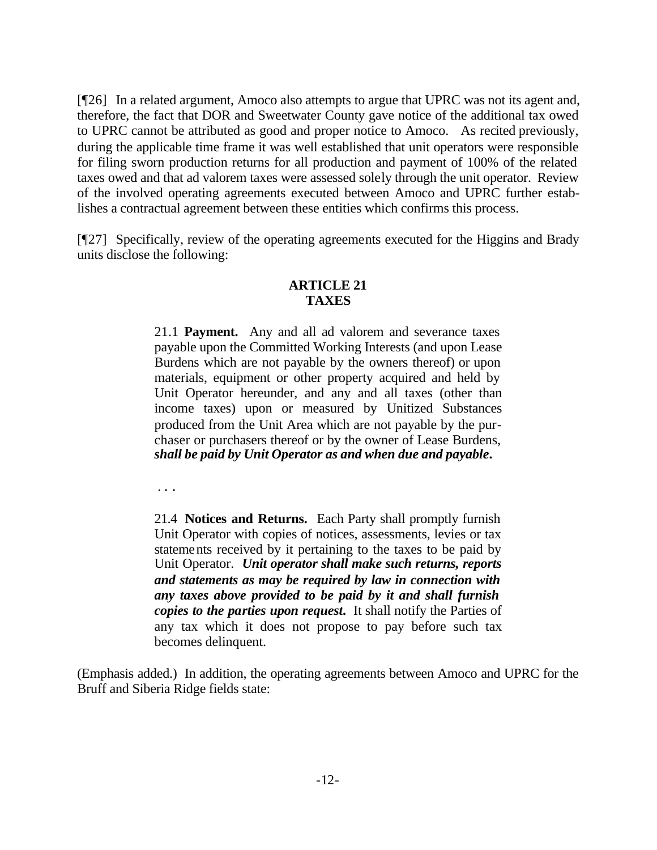[¶26] In a related argument, Amoco also attempts to argue that UPRC was not its agent and, therefore, the fact that DOR and Sweetwater County gave notice of the additional tax owed to UPRC cannot be attributed as good and proper notice to Amoco. As recited previously, during the applicable time frame it was well established that unit operators were responsible for filing sworn production returns for all production and payment of 100% of the related taxes owed and that ad valorem taxes were assessed solely through the unit operator. Review of the involved operating agreements executed between Amoco and UPRC further establishes a contractual agreement between these entities which confirms this process.

[¶27] Specifically, review of the operating agreements executed for the Higgins and Brady units disclose the following:

# **ARTICLE 21 TAXES**

21.1 **Payment.** Any and all ad valorem and severance taxes payable upon the Committed Working Interests (and upon Lease Burdens which are not payable by the owners thereof) or upon materials, equipment or other property acquired and held by Unit Operator hereunder, and any and all taxes (other than income taxes) upon or measured by Unitized Substances produced from the Unit Area which are not payable by the purchaser or purchasers thereof or by the owner of Lease Burdens, *shall be paid by Unit Operator as and when due and payable***.**

. . .

21.4 **Notices and Returns.** Each Party shall promptly furnish Unit Operator with copies of notices, assessments, levies or tax statements received by it pertaining to the taxes to be paid by Unit Operator. *Unit operator shall make such returns, reports and statements as may be required by law in connection with any taxes above provided to be paid by it and shall furnish copies to the parties upon request***.** It shall notify the Parties of any tax which it does not propose to pay before such tax becomes delinquent.

(Emphasis added.) In addition, the operating agreements between Amoco and UPRC for the Bruff and Siberia Ridge fields state: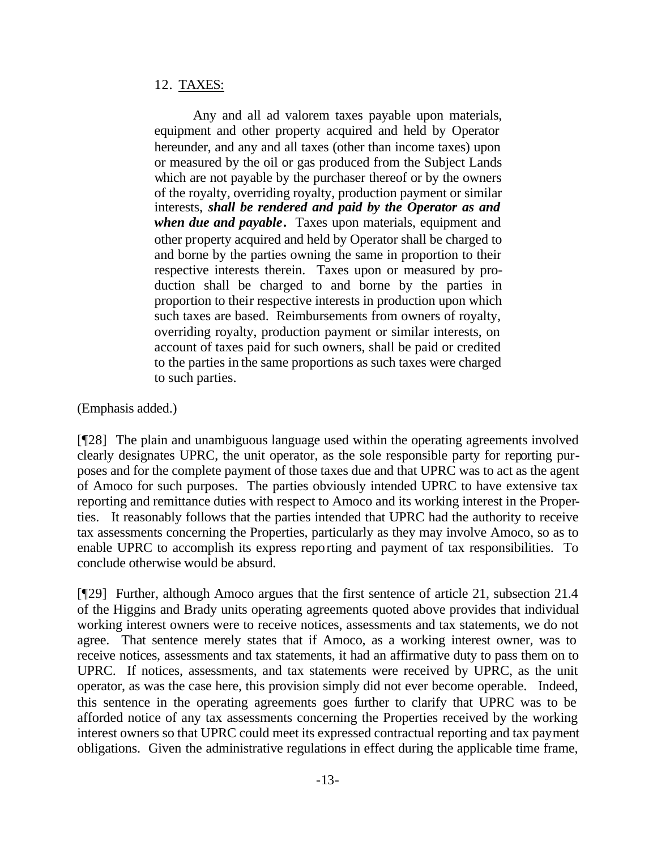# 12. TAXES:

Any and all ad valorem taxes payable upon materials, equipment and other property acquired and held by Operator hereunder, and any and all taxes (other than income taxes) upon or measured by the oil or gas produced from the Subject Lands which are not payable by the purchaser thereof or by the owners of the royalty, overriding royalty, production payment or similar interests, *shall be rendered and paid by the Operator as and when due and payable***.** Taxes upon materials, equipment and other property acquired and held by Operator shall be charged to and borne by the parties owning the same in proportion to their respective interests therein. Taxes upon or measured by production shall be charged to and borne by the parties in proportion to their respective interests in production upon which such taxes are based. Reimbursements from owners of royalty, overriding royalty, production payment or similar interests, on account of taxes paid for such owners, shall be paid or credited to the parties in the same proportions as such taxes were charged to such parties.

(Emphasis added.)

[¶28] The plain and unambiguous language used within the operating agreements involved clearly designates UPRC, the unit operator, as the sole responsible party for reporting purposes and for the complete payment of those taxes due and that UPRC was to act as the agent of Amoco for such purposes. The parties obviously intended UPRC to have extensive tax reporting and remittance duties with respect to Amoco and its working interest in the Properties. It reasonably follows that the parties intended that UPRC had the authority to receive tax assessments concerning the Properties, particularly as they may involve Amoco, so as to enable UPRC to accomplish its express reporting and payment of tax responsibilities. To conclude otherwise would be absurd.

[¶29] Further, although Amoco argues that the first sentence of article 21, subsection 21.4 of the Higgins and Brady units operating agreements quoted above provides that individual working interest owners were to receive notices, assessments and tax statements, we do not agree. That sentence merely states that if Amoco, as a working interest owner, was to receive notices, assessments and tax statements, it had an affirmative duty to pass them on to UPRC. If notices, assessments, and tax statements were received by UPRC, as the unit operator, as was the case here, this provision simply did not ever become operable. Indeed, this sentence in the operating agreements goes further to clarify that UPRC was to be afforded notice of any tax assessments concerning the Properties received by the working interest owners so that UPRC could meet its expressed contractual reporting and tax payment obligations. Given the administrative regulations in effect during the applicable time frame,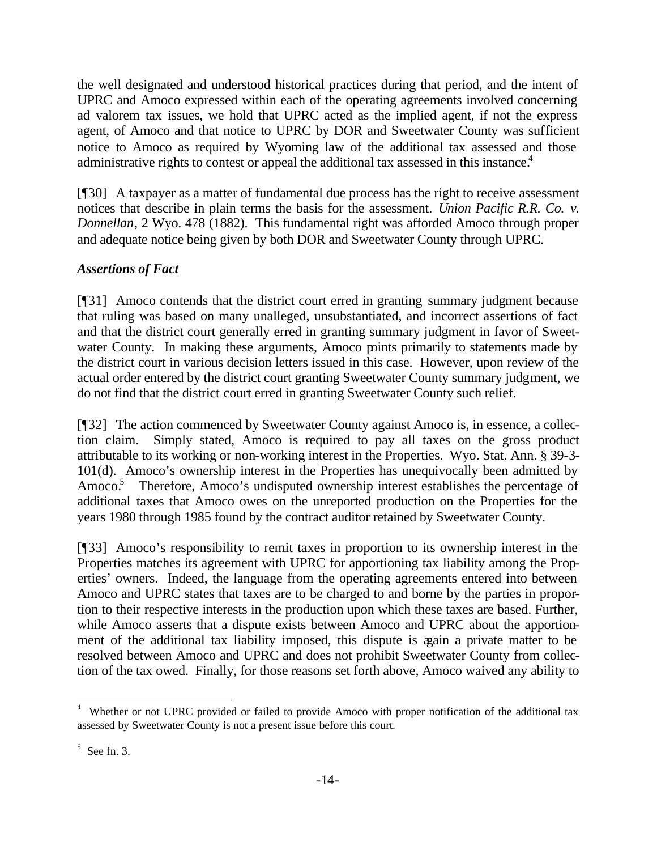the well designated and understood historical practices during that period, and the intent of UPRC and Amoco expressed within each of the operating agreements involved concerning ad valorem tax issues, we hold that UPRC acted as the implied agent, if not the express agent, of Amoco and that notice to UPRC by DOR and Sweetwater County was sufficient notice to Amoco as required by Wyoming law of the additional tax assessed and those administrative rights to contest or appeal the additional tax assessed in this instance.<sup>4</sup>

[¶30] A taxpayer as a matter of fundamental due process has the right to receive assessment notices that describe in plain terms the basis for the assessment. *Union Pacific R.R. Co. v. Donnellan*, 2 Wyo. 478 (1882). This fundamental right was afforded Amoco through proper and adequate notice being given by both DOR and Sweetwater County through UPRC.

# *Assertions of Fact*

[¶31] Amoco contends that the district court erred in granting summary judgment because that ruling was based on many unalleged, unsubstantiated, and incorrect assertions of fact and that the district court generally erred in granting summary judgment in favor of Sweetwater County. In making these arguments, Amoco points primarily to statements made by the district court in various decision letters issued in this case. However, upon review of the actual order entered by the district court granting Sweetwater County summary judgment, we do not find that the district court erred in granting Sweetwater County such relief.

[¶32] The action commenced by Sweetwater County against Amoco is, in essence, a collection claim. Simply stated, Amoco is required to pay all taxes on the gross product attributable to its working or non-working interest in the Properties. Wyo. Stat. Ann. § 39-3- 101(d). Amoco's ownership interest in the Properties has unequivocally been admitted by Amoco.<sup>5</sup> Therefore, Amoco's undisputed ownership interest establishes the percentage of additional taxes that Amoco owes on the unreported production on the Properties for the years 1980 through 1985 found by the contract auditor retained by Sweetwater County.

[¶33] Amoco's responsibility to remit taxes in proportion to its ownership interest in the Properties matches its agreement with UPRC for apportioning tax liability among the Properties' owners. Indeed, the language from the operating agreements entered into between Amoco and UPRC states that taxes are to be charged to and borne by the parties in proportion to their respective interests in the production upon which these taxes are based. Further, while Amoco asserts that a dispute exists between Amoco and UPRC about the apportionment of the additional tax liability imposed, this dispute is again a private matter to be resolved between Amoco and UPRC and does not prohibit Sweetwater County from collection of the tax owed. Finally, for those reasons set forth above, Amoco waived any ability to

<sup>&</sup>lt;sup>4</sup> Whether or not UPRC provided or failed to provide Amoco with proper notification of the additional tax assessed by Sweetwater County is not a present issue before this court.

 $5$  See fn. 3.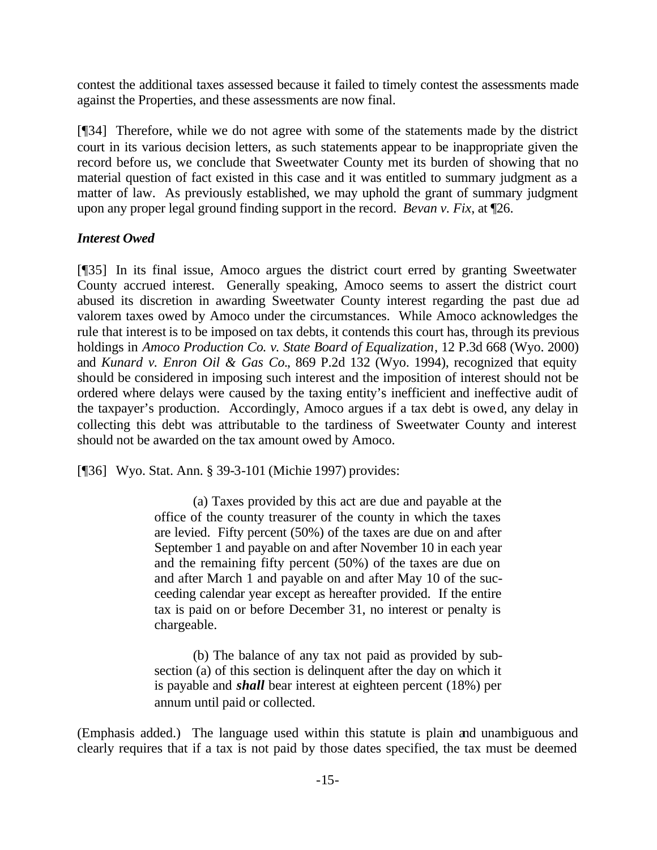contest the additional taxes assessed because it failed to timely contest the assessments made against the Properties, and these assessments are now final.

[¶34] Therefore, while we do not agree with some of the statements made by the district court in its various decision letters, as such statements appear to be inappropriate given the record before us, we conclude that Sweetwater County met its burden of showing that no material question of fact existed in this case and it was entitled to summary judgment as a matter of law. As previously established, we may uphold the grant of summary judgment upon any proper legal ground finding support in the record. *Bevan v. Fix*, at ¶26.

## *Interest Owed*

[¶35] In its final issue, Amoco argues the district court erred by granting Sweetwater County accrued interest. Generally speaking, Amoco seems to assert the district court abused its discretion in awarding Sweetwater County interest regarding the past due ad valorem taxes owed by Amoco under the circumstances. While Amoco acknowledges the rule that interest is to be imposed on tax debts, it contends this court has, through its previous holdings in *Amoco Production Co. v. State Board of Equalization*, 12 P.3d 668 (Wyo. 2000) and *Kunard v. Enron Oil & Gas Co.*, 869 P.2d 132 (Wyo. 1994), recognized that equity should be considered in imposing such interest and the imposition of interest should not be ordered where delays were caused by the taxing entity's inefficient and ineffective audit of the taxpayer's production. Accordingly, Amoco argues if a tax debt is owed, any delay in collecting this debt was attributable to the tardiness of Sweetwater County and interest should not be awarded on the tax amount owed by Amoco.

[¶36] Wyo. Stat. Ann. § 39-3-101 (Michie 1997) provides:

(a) Taxes provided by this act are due and payable at the office of the county treasurer of the county in which the taxes are levied. Fifty percent (50%) of the taxes are due on and after September 1 and payable on and after November 10 in each year and the remaining fifty percent (50%) of the taxes are due on and after March 1 and payable on and after May 10 of the succeeding calendar year except as hereafter provided. If the entire tax is paid on or before December 31, no interest or penalty is chargeable.

(b) The balance of any tax not paid as provided by subsection (a) of this section is delinquent after the day on which it is payable and *shall* bear interest at eighteen percent (18%) per annum until paid or collected.

(Emphasis added.) The language used within this statute is plain and unambiguous and clearly requires that if a tax is not paid by those dates specified, the tax must be deemed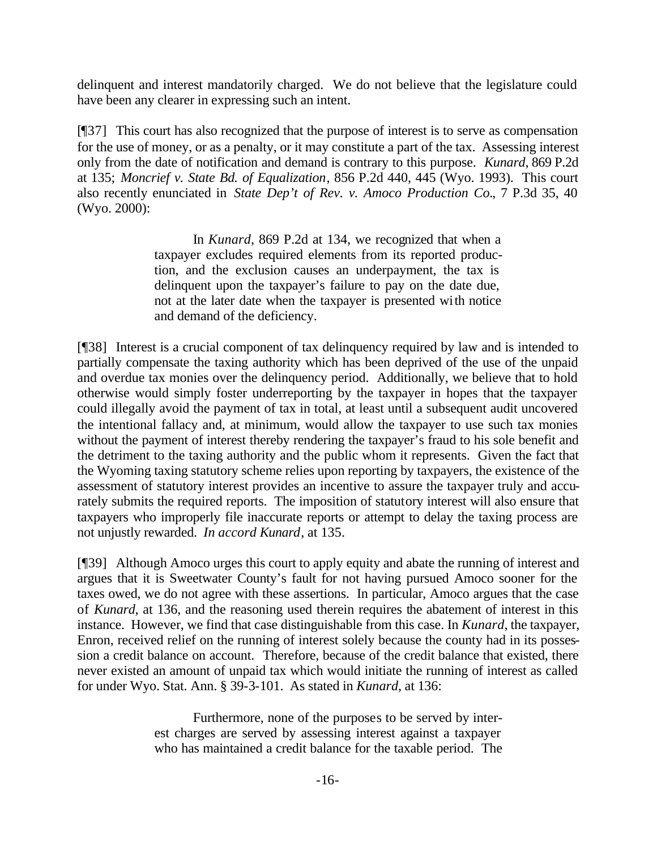delinquent and interest mandatorily charged. We do not believe that the legislature could have been any clearer in expressing such an intent.

[¶37] This court has also recognized that the purpose of interest is to serve as compensation for the use of money, or as a penalty, or it may constitute a part of the tax. Assessing interest only from the date of notification and demand is contrary to this purpose. *Kunard*, 869 P.2d at 135; *Moncrief v. State Bd. of Equalization*, 856 P.2d 440, 445 (Wyo. 1993). This court also recently enunciated in *State Dep't of Rev. v. Amoco Production Co.*, 7 P.3d 35, 40 (Wyo. 2000):

> In *Kunard*, 869 P.2d at 134, we recognized that when a taxpayer excludes required elements from its reported production, and the exclusion causes an underpayment, the tax is delinquent upon the taxpayer's failure to pay on the date due, not at the later date when the taxpayer is presented with notice and demand of the deficiency.

[¶38] Interest is a crucial component of tax delinquency required by law and is intended to partially compensate the taxing authority which has been deprived of the use of the unpaid and overdue tax monies over the delinquency period. Additionally, we believe that to hold otherwise would simply foster underreporting by the taxpayer in hopes that the taxpayer could illegally avoid the payment of tax in total, at least until a subsequent audit uncovered the intentional fallacy and, at minimum, would allow the taxpayer to use such tax monies without the payment of interest thereby rendering the taxpayer's fraud to his sole benefit and the detriment to the taxing authority and the public whom it represents. Given the fact that the Wyoming taxing statutory scheme relies upon reporting by taxpayers, the existence of the assessment of statutory interest provides an incentive to assure the taxpayer truly and accurately submits the required reports. The imposition of statutory interest will also ensure that taxpayers who improperly file inaccurate reports or attempt to delay the taxing process are not unjustly rewarded. *In accord Kunard*, at 135.

[¶39] Although Amoco urges this court to apply equity and abate the running of interest and argues that it is Sweetwater County's fault for not having pursued Amoco sooner for the taxes owed, we do not agree with these assertions. In particular, Amoco argues that the case of *Kunard*, at 136, and the reasoning used therein requires the abatement of interest in this instance. However, we find that case distinguishable from this case. In *Kunard*, the taxpayer, Enron, received relief on the running of interest solely because the county had in its possession a credit balance on account. Therefore, because of the credit balance that existed, there never existed an amount of unpaid tax which would initiate the running of interest as called for under Wyo. Stat. Ann. § 39-3-101. As stated in *Kunard*, at 136:

> Furthermore, none of the purposes to be served by interest charges are served by assessing interest against a taxpayer who has maintained a credit balance for the taxable period. The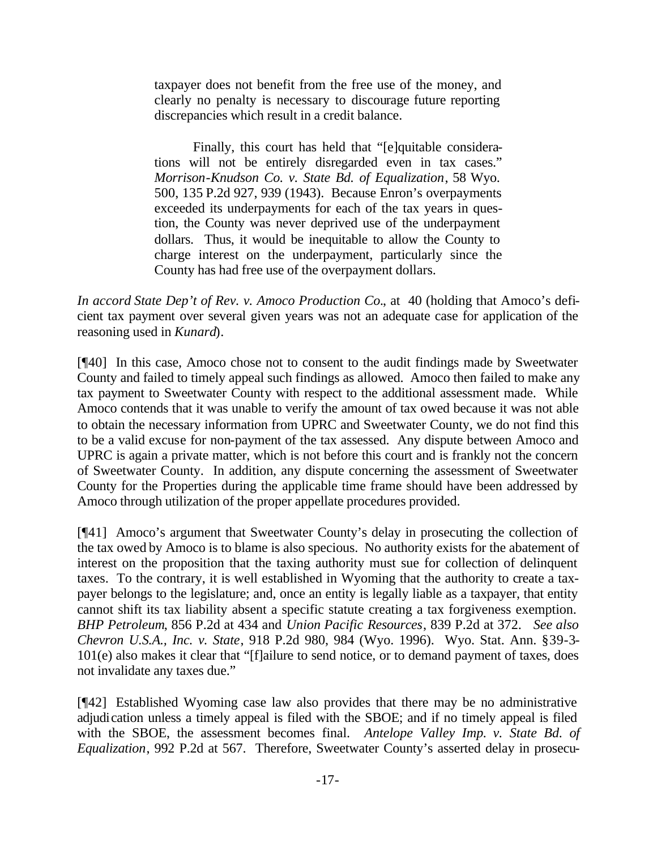taxpayer does not benefit from the free use of the money, and clearly no penalty is necessary to discourage future reporting discrepancies which result in a credit balance.

Finally, this court has held that "[e]quitable considerations will not be entirely disregarded even in tax cases." *Morrison-Knudson Co. v. State Bd. of Equalization*, 58 Wyo. 500, 135 P.2d 927, 939 (1943). Because Enron's overpayments exceeded its underpayments for each of the tax years in question, the County was never deprived use of the underpayment dollars. Thus, it would be inequitable to allow the County to charge interest on the underpayment, particularly since the County has had free use of the overpayment dollars.

*In accord State Dep't of Rev. v. Amoco Production Co.*, at 40 (holding that Amoco's deficient tax payment over several given years was not an adequate case for application of the reasoning used in *Kunard*).

[¶40] In this case, Amoco chose not to consent to the audit findings made by Sweetwater County and failed to timely appeal such findings as allowed. Amoco then failed to make any tax payment to Sweetwater County with respect to the additional assessment made. While Amoco contends that it was unable to verify the amount of tax owed because it was not able to obtain the necessary information from UPRC and Sweetwater County, we do not find this to be a valid excuse for non-payment of the tax assessed. Any dispute between Amoco and UPRC is again a private matter, which is not before this court and is frankly not the concern of Sweetwater County. In addition, any dispute concerning the assessment of Sweetwater County for the Properties during the applicable time frame should have been addressed by Amoco through utilization of the proper appellate procedures provided.

[¶41] Amoco's argument that Sweetwater County's delay in prosecuting the collection of the tax owed by Amoco is to blame is also specious. No authority exists for the abatement of interest on the proposition that the taxing authority must sue for collection of delinquent taxes. To the contrary, it is well established in Wyoming that the authority to create a taxpayer belongs to the legislature; and, once an entity is legally liable as a taxpayer, that entity cannot shift its tax liability absent a specific statute creating a tax forgiveness exemption. *BHP Petroleum*, 856 P.2d at 434 and *Union Pacific Resources*, 839 P.2d at 372. *See also Chevron U.S.A., Inc. v. State*, 918 P.2d 980, 984 (Wyo. 1996). Wyo. Stat. Ann. §39-3- 101(e) also makes it clear that "[f]ailure to send notice, or to demand payment of taxes, does not invalidate any taxes due."

[¶42] Established Wyoming case law also provides that there may be no administrative adjudication unless a timely appeal is filed with the SBOE; and if no timely appeal is filed with the SBOE, the assessment becomes final. *Antelope Valley Imp. v. State Bd. of Equalization*, 992 P.2d at 567. Therefore, Sweetwater County's asserted delay in prosecu-